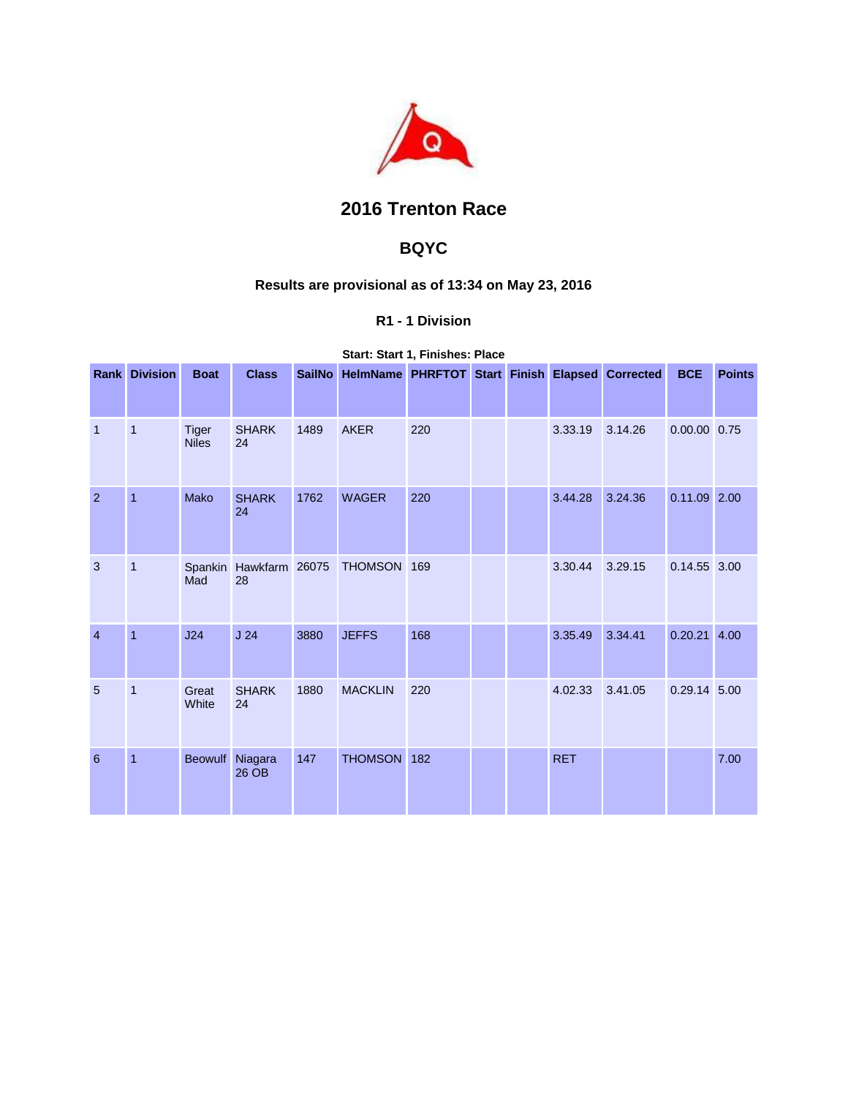

# **2016 Trenton Race**

## **BQYC**

### **Results are provisional as of 13:34 on May 23, 2016**

### **R1 - 1 Division**

**Start: Start 1, Finishes: Place** 

|                | <b>Rank Division</b> | <b>Boat</b>                  | <b>Class</b>                 |      | SailNo HelmName PHRFTOT Start Finish Elapsed Corrected |     |  |            |         | <b>BCE</b>     | <b>Points</b> |
|----------------|----------------------|------------------------------|------------------------------|------|--------------------------------------------------------|-----|--|------------|---------|----------------|---------------|
| $\overline{1}$ | $\mathbf{1}$         | <b>Tiger</b><br><b>Niles</b> | <b>SHARK</b><br>24           | 1489 | <b>AKER</b>                                            | 220 |  | 3.33.19    | 3.14.26 | 0.00.00 0.75   |               |
| $\overline{2}$ | $\overline{1}$       | Mako                         | <b>SHARK</b><br>24           | 1762 | <b>WAGER</b>                                           | 220 |  | 3.44.28    | 3.24.36 | $0.11.09$ 2.00 |               |
| 3              | $\mathbf{1}$         | Mad                          | Spankin Hawkfarm 26075<br>28 |      | THOMSON 169                                            |     |  | 3.30.44    | 3.29.15 | 0.14.55 3.00   |               |
| $\overline{4}$ | $\overline{1}$       | J24                          | J <sub>24</sub>              | 3880 | <b>JEFFS</b>                                           | 168 |  | 3.35.49    | 3.34.41 | $0.20.21$ 4.00 |               |
| 5              | $\mathbf{1}$         | Great<br>White               | <b>SHARK</b><br>24           | 1880 | <b>MACKLIN</b>                                         | 220 |  | 4.02.33    | 3.41.05 | 0.29.14 5.00   |               |
| 6              | 1                    | Beowulf Niagara              | 26 OB                        | 147  | THOMSON 182                                            |     |  | <b>RET</b> |         |                | 7.00          |